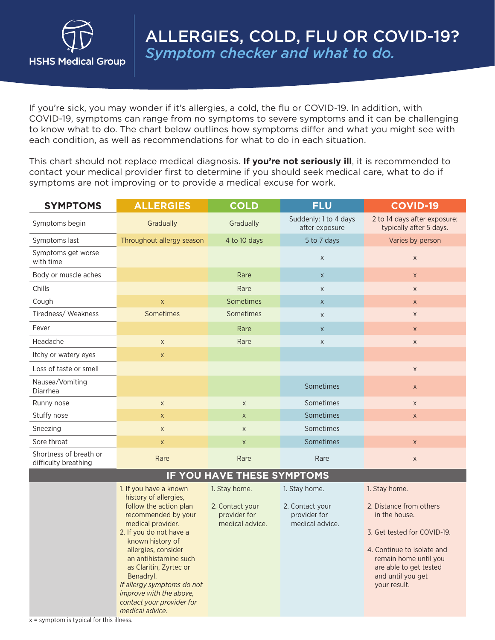

If you're sick, you may wonder if it's allergies, a cold, the flu or COVID-19. In addition, with COVID-19, symptoms can range from no symptoms to severe symptoms and it can be challenging to know what to do. The chart below outlines how symptoms differ and what you might see with each condition, as well as recommendations for what to do in each situation.

This chart should not replace medical diagnosis. **If you're not seriously ill**, it is recommended to contact your medical provider first to determine if you should seek medical care, what to do if symptoms are not improving or to provide a medical excuse for work.

| <b>SYMPTOMS</b>                                | <b>ALLERGIES</b>                                                                                                                                                                                                                                                                                                                                  | <b>COLD</b>                                                         | <b>FLU</b>                                                          | <b>COVID-19</b>                                                                                                                                                                                                |
|------------------------------------------------|---------------------------------------------------------------------------------------------------------------------------------------------------------------------------------------------------------------------------------------------------------------------------------------------------------------------------------------------------|---------------------------------------------------------------------|---------------------------------------------------------------------|----------------------------------------------------------------------------------------------------------------------------------------------------------------------------------------------------------------|
| Symptoms begin                                 | Gradually                                                                                                                                                                                                                                                                                                                                         | Gradually                                                           | Suddenly: 1 to 4 days<br>after exposure                             | 2 to 14 days after exposure;<br>typically after 5 days.                                                                                                                                                        |
| Symptoms last                                  | Throughout allergy season                                                                                                                                                                                                                                                                                                                         | 4 to 10 days                                                        | 5 to 7 days                                                         | Varies by person                                                                                                                                                                                               |
| Symptoms get worse<br>with time                |                                                                                                                                                                                                                                                                                                                                                   |                                                                     | $\mathsf X$                                                         | $\mathsf X$                                                                                                                                                                                                    |
| Body or muscle aches                           |                                                                                                                                                                                                                                                                                                                                                   | Rare                                                                | $\mathsf X$                                                         | $\mathsf X$                                                                                                                                                                                                    |
| Chills                                         |                                                                                                                                                                                                                                                                                                                                                   | Rare                                                                | X                                                                   | $\mathsf X$                                                                                                                                                                                                    |
| Cough                                          | $\mathsf{X}$                                                                                                                                                                                                                                                                                                                                      | Sometimes                                                           | $\mathsf X$                                                         | $\mathsf X$                                                                                                                                                                                                    |
| Tiredness/Weakness                             | Sometimes                                                                                                                                                                                                                                                                                                                                         | Sometimes                                                           | X                                                                   | $\mathsf X$                                                                                                                                                                                                    |
| Fever                                          |                                                                                                                                                                                                                                                                                                                                                   | Rare                                                                | $\mathsf X$                                                         | $\mathsf X$                                                                                                                                                                                                    |
| Headache                                       | $\mathsf X$                                                                                                                                                                                                                                                                                                                                       | Rare                                                                | X                                                                   | $\mathsf X$                                                                                                                                                                                                    |
| Itchy or watery eyes                           | $\mathsf X$                                                                                                                                                                                                                                                                                                                                       |                                                                     |                                                                     |                                                                                                                                                                                                                |
| Loss of taste or smell                         |                                                                                                                                                                                                                                                                                                                                                   |                                                                     |                                                                     | $\mathsf X$                                                                                                                                                                                                    |
| Nausea/Vomiting<br>Diarrhea                    |                                                                                                                                                                                                                                                                                                                                                   |                                                                     | Sometimes                                                           | $\mathsf X$                                                                                                                                                                                                    |
| Runny nose                                     | $\mathsf X$                                                                                                                                                                                                                                                                                                                                       | $\mathsf{X}$                                                        | Sometimes                                                           | $\mathsf X$                                                                                                                                                                                                    |
| Stuffy nose                                    | $\mathsf{X}$                                                                                                                                                                                                                                                                                                                                      | $\mathsf{X}$                                                        | Sometimes                                                           | $\mathsf X$                                                                                                                                                                                                    |
| Sneezing                                       | $\mathsf X$                                                                                                                                                                                                                                                                                                                                       | $\mathsf X$                                                         | Sometimes                                                           |                                                                                                                                                                                                                |
| Sore throat                                    | $\mathsf X$                                                                                                                                                                                                                                                                                                                                       | $\mathsf X$                                                         | Sometimes                                                           | $\mathsf{x}$                                                                                                                                                                                                   |
| Shortness of breath or<br>difficulty breathing | Rare                                                                                                                                                                                                                                                                                                                                              | Rare                                                                | Rare                                                                | $\mathsf{X}$                                                                                                                                                                                                   |
| IF YOU HAVE THESE SYMPTOMS                     |                                                                                                                                                                                                                                                                                                                                                   |                                                                     |                                                                     |                                                                                                                                                                                                                |
|                                                | 1. If you have a known<br>history of allergies,<br>follow the action plan<br>recommended by your<br>medical provider.<br>2. If you do not have a<br>known history of<br>allergies, consider<br>an antihistamine such<br>as Claritin, Zyrtec or<br>Benadryl.<br>If allergy symptoms do not<br>improve with the above,<br>contact your provider for | 1. Stay home.<br>2. Contact your<br>provider for<br>medical advice. | 1. Stay home.<br>2. Contact your<br>provider for<br>medical advice. | 1. Stay home.<br>2. Distance from others<br>in the house.<br>3. Get tested for COVID-19.<br>4. Continue to isolate and<br>remain home until you<br>are able to get tested<br>and until you get<br>your result. |

x = symptom is typical for this illness.

*medical advice.*